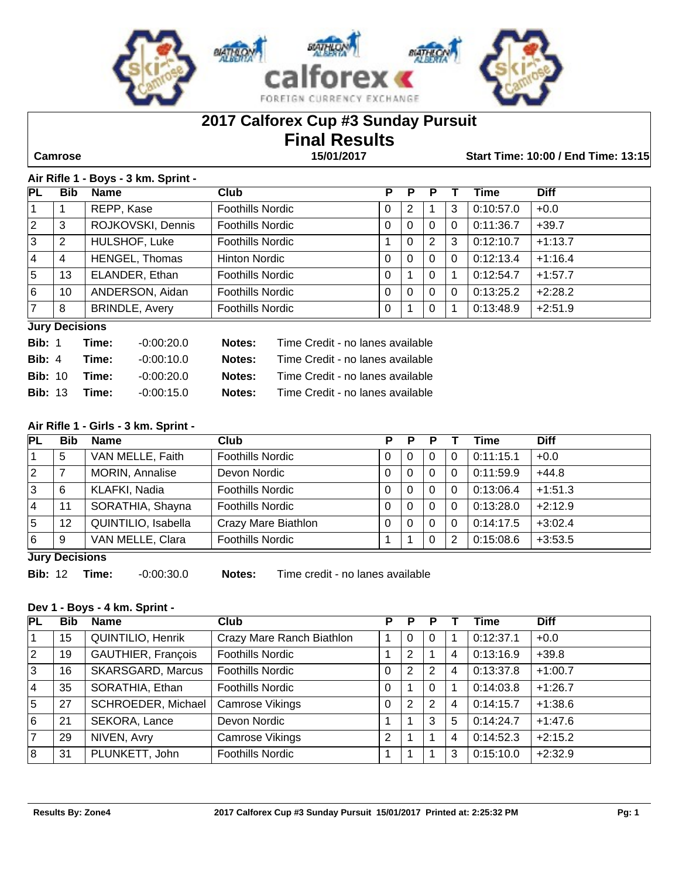

## **2017 Calforex Cup #3 Sunday Pursuit**

# **Final Results**

 **Camrose 15/01/2017 Start Time: 10:00 / End Time: 13:15**

#### **Air Rifle 1 - Boys - 3 km. Sprint -**

| PL | <b>Bib</b>            | <b>Name</b>           | <b>Club</b>             | Р        | Р            |          |   | Time      | <b>Diff</b> |
|----|-----------------------|-----------------------|-------------------------|----------|--------------|----------|---|-----------|-------------|
|    |                       | REPP, Kase            | <b>Foothills Nordic</b> | 0        | 2            |          | 3 | 0:10:57.0 | $+0.0$      |
| 2  | 3                     | ROJKOVSKI, Dennis     | <b>Foothills Nordic</b> | 0        | 0            | $\Omega$ | 0 | 0:11:36.7 | $+39.7$     |
| 3  | 2                     | HULSHOF, Luke         | <b>Foothills Nordic</b> |          | $\Omega$     | 2        | 3 | 0:12:10.7 | $+1:13.7$   |
| 4  | 4                     | HENGEL, Thomas        | <b>Hinton Nordic</b>    | 0        | 0            | 0        | 0 | 0:12:13.4 | $+1:16.4$   |
| 5  | 13                    | ELANDER, Ethan        | <b>Foothills Nordic</b> | $\Omega$ |              | 0        |   | 0:12:54.7 | $+1:57.7$   |
| 6  | 10                    | ANDERSON, Aidan       | <b>Foothills Nordic</b> | 0        | $\mathbf{0}$ | $\Omega$ | 0 | 0:13:25.2 | $+2:28.2$   |
| 7  | 8                     | <b>BRINDLE, Avery</b> | <b>Foothills Nordic</b> | 0        |              | 0        |   | 0:13:48.9 | $+2:51.9$   |
|    | <b>Jury Decisions</b> |                       |                         |          |              |          |   |           |             |

| <b>Bib:</b> 1        | Time: | -0:00:20.0   | Notes: | Time Credit - no lanes available               |
|----------------------|-------|--------------|--------|------------------------------------------------|
| Bib: 4               | Time: | $-0.00:10.0$ |        | <b>Notes:</b> Time Credit - no lanes available |
| <b>Bib: 10 Time:</b> |       | -0:00:20.0   |        | <b>Notes:</b> Time Credit - no lanes available |
| <b>Bib: 13 Time:</b> |       | $-0.00:15.0$ | Notes: | Time Credit - no lanes available               |

#### **Air Rifle 1 - Girls - 3 km. Sprint -**

| PL                    | <b>Bib</b> | <b>Name</b>         | Club                    | р | Р        |          |   | Time      | <b>Diff</b> |
|-----------------------|------------|---------------------|-------------------------|---|----------|----------|---|-----------|-------------|
|                       | 5          | VAN MELLE, Faith    | <b>Foothills Nordic</b> |   | 0        | 0        | 0 | 0:11:15.1 | $+0.0$      |
| $\vert 2 \vert$       |            | MORIN, Annalise     | Devon Nordic            |   | $\Omega$ | 0        | 0 | 0:11:59.9 | $+44.8$     |
| 3                     | 6          | KLAFKI, Nadia       | <b>Foothills Nordic</b> |   | $\Omega$ | 0        | 0 | 0:13:06.4 | $+1:51.3$   |
| 4                     | 11         | SORATHIA, Shayna    | <b>Foothills Nordic</b> | 0 | $\Omega$ | 0        | 0 | 0:13:28.0 | $+2:12.9$   |
| 5                     | 12         | QUINTILIO, Isabella | Crazy Mare Biathlon     | 0 | 0        | 0        | 0 | 0:14:17.5 | $+3:02.4$   |
| 6                     | 9          | VAN MELLE, Clara    | <b>Foothills Nordic</b> |   |          | $\Omega$ | 2 | 0:15:08.6 | $+3:53.5$   |
| <b>Lury Docisions</b> |            |                     |                         |   |          |          |   |           |             |

**Jury Decisions**

**Bib:** 12 **Time:** -0:00:30.0 **Notes:** Time credit - no lanes available

#### **Dev 1 - Boys - 4 km. Sprint -**

| <b>PL</b>      | <b>Bib</b> | <b>Name</b>              | <b>Club</b>               | Р              | Р        |    |   | Time      | <b>Diff</b> |
|----------------|------------|--------------------------|---------------------------|----------------|----------|----|---|-----------|-------------|
|                | 15         | <b>QUINTILIO, Henrik</b> | Crazy Mare Ranch Biathlon |                | $\Omega$ | 0  |   | 0:12:37.1 | $+0.0$      |
| $\overline{2}$ | 19         | GAUTHIER, François       | <b>Foothills Nordic</b>   |                | 2        |    | 4 | 0:13:16.9 | $+39.8$     |
| 3              | 16         | <b>SKARSGARD, Marcus</b> | <b>Foothills Nordic</b>   | 0              | 2        | 2  | 4 | 0:13:37.8 | $+1:00.7$   |
| 4              | 35         | SORATHIA, Ethan          | <b>Foothills Nordic</b>   | 0              |          | 0  |   | 0:14:03.8 | $+1:26.7$   |
| 5              | 27         | SCHROEDER, Michael       | <b>Camrose Vikings</b>    | 0              | 2        | -2 | 4 | 0:14:15.7 | $+1:38.6$   |
| 6              | 21         | SEKORA, Lance            | Devon Nordic              |                |          | 3  | 5 | 0:14:24.7 | $+1:47.6$   |
| $\overline{7}$ | 29         | NIVEN, Avry              | <b>Camrose Vikings</b>    | $\overline{2}$ |          |    | 4 | 0:14:52.3 | $+2:15.2$   |
| 8              | 31         | PLUNKETT, John           | <b>Foothills Nordic</b>   |                |          |    | 3 | 0:15:10.0 | $+2:32.9$   |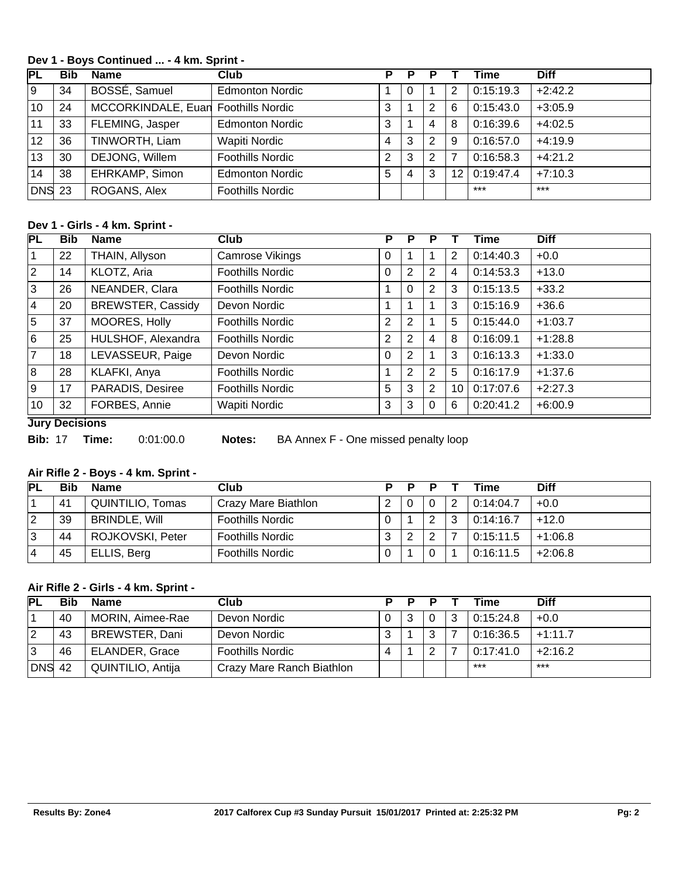#### **Dev 1 - Boys Continued ... - 4 km. Sprint -**

| РL     | <b>Bib</b> | <b>Name</b>                         | <b>Club</b>             | Р              | P |   |    | <b>Time</b> | <b>Diff</b> |
|--------|------------|-------------------------------------|-------------------------|----------------|---|---|----|-------------|-------------|
| ۱9     | 34         | BOSSÉ, Samuel                       | <b>Edmonton Nordic</b>  |                | O |   | 2  | 0:15:19.3   | $+2:42.2$   |
| 10     | 24         | MCCORKINDALE, Euan Foothills Nordic |                         | 3              |   | 2 | 6  | 0:15:43.0   | $+3:05.9$   |
| 11     | 33         | FLEMING, Jasper                     | <b>Edmonton Nordic</b>  | 3              |   | 4 | 8  | 0:16:39.6   | $+4:02.5$   |
| 12     | 36         | TINWORTH, Liam                      | <b>Wapiti Nordic</b>    | 4              | 3 | 2 | 9  | 0:16:57.0   | $+4:19.9$   |
| 13     | 30         | DEJONG, Willem                      | <b>Foothills Nordic</b> | $\overline{2}$ | 3 | 2 |    | 0:16:58.3   | $+4:21.2$   |
| 14     | 38         | EHRKAMP, Simon                      | <b>Edmonton Nordic</b>  | 5              | 4 | 3 | 12 | 0:19:47.4   | $+7:10.3$   |
| DNS 23 |            | ROGANS, Alex                        | <b>Foothills Nordic</b> |                |   |   |    | $***$       | $***$       |

#### **Dev 1 - Girls - 4 km. Sprint -**

| <b>PL</b>      | <b>Bib</b> | <b>Name</b>              | Club                    | Ρ              | Р        | Р |                 | Time      | <b>Diff</b> |
|----------------|------------|--------------------------|-------------------------|----------------|----------|---|-----------------|-----------|-------------|
| 1              | 22         | THAIN, Allyson           | Camrose Vikings         | 0              |          |   | 2               | 0:14:40.3 | $+0.0$      |
| $ 2\rangle$    | 14         | KLOTZ, Aria              | <b>Foothills Nordic</b> | 0              | 2        | 2 | 4               | 0:14:53.3 | $+13.0$     |
| 3              | 26         | NEANDER, Clara           | <b>Foothills Nordic</b> |                | $\Omega$ | 2 | 3               | 0:15:13.5 | $+33.2$     |
| 4              | 20         | <b>BREWSTER, Cassidy</b> | Devon Nordic            |                |          |   | 3               | 0:15:16.9 | $+36.6$     |
| 5              | 37         | MOORES, Holly            | <b>Foothills Nordic</b> | $\overline{2}$ | 2        |   | 5               | 0:15:44.0 | $+1:03.7$   |
| 16             | 25         | HULSHOF, Alexandra       | <b>Foothills Nordic</b> | $\overline{2}$ | 2        | 4 | 8               | 0:16:09.1 | $+1:28.8$   |
| $\overline{7}$ | 18         | LEVASSEUR, Paige         | Devon Nordic            | 0              | 2        |   | 3               | 0:16:13.3 | $+1:33.0$   |
| 8              | 28         | KLAFKI, Anya             | <b>Foothills Nordic</b> |                | 2        | 2 | 5               | 0:16:17.9 | $+1:37.6$   |
| 9              | 17         | PARADIS, Desiree         | <b>Foothills Nordic</b> | 5              | 3        | 2 | 10 <sup>1</sup> | 0:17:07.6 | $+2:27.3$   |
| 10             | 32         | FORBES, Annie            | Wapiti Nordic           | 3              | 3        | 0 | 6               | 0:20:41.2 | $+6:00.9$   |

**Jury Decisions**

**Bib:** 17 **Time:** 0:01:00.0 **Notes:** BA Annex F - One missed penalty loop

#### **Air Rifle 2 - Boys - 4 km. Sprint -**

| PL | <b>Bib</b> | <b>Name</b>          | Club                    |   | Ð |        |   | Time      | <b>Diff</b> |
|----|------------|----------------------|-------------------------|---|---|--------|---|-----------|-------------|
|    | 41         | QUINTILIO, Tomas     | Crazy Mare Biathlon     |   |   |        | っ | 0:14:04.7 | $+0.0$      |
| 2  | 39         | <b>BRINDLE, Will</b> | <b>Foothills Nordic</b> |   |   | $\sim$ | າ | 0:14:16.7 | $+12.0$     |
| 3  | 44         | ROJKOVSKI, Peter     | <b>Foothills Nordic</b> | າ | 2 | ⌒      |   | 0:15:11.5 | $+1:06.8$   |
| 14 | 45         | ELLIS, Berg          | <b>Foothills Nordic</b> |   |   |        |   | 0:16:11.5 | $+2:06.8$   |

## **Air Rifle 2 - Girls - 4 km. Sprint -**

| <b>PL</b> | <b>Bib</b> | <b>Name</b>           | Club                      | D. |   | Time      | <b>Diff</b> |
|-----------|------------|-----------------------|---------------------------|----|---|-----------|-------------|
|           | 40         | MORIN, Aimee-Rae      | Devon Nordic              |    |   | 0:15:24.8 | $+0.0$      |
| 2         | 43         | <b>BREWSTER, Dani</b> | Devon Nordic              |    | ⌒ | 0:16:36.5 | $+1:11.7$   |
| 3         | 46         | <b>ELANDER, Grace</b> | <b>Foothills Nordic</b>   |    | ⌒ | 0:17:41.0 | $+2:16.2$   |
| $ DNS$ 42 |            | QUINTILIO, Antija     | Crazy Mare Ranch Biathlon |    |   | ***       | $***$       |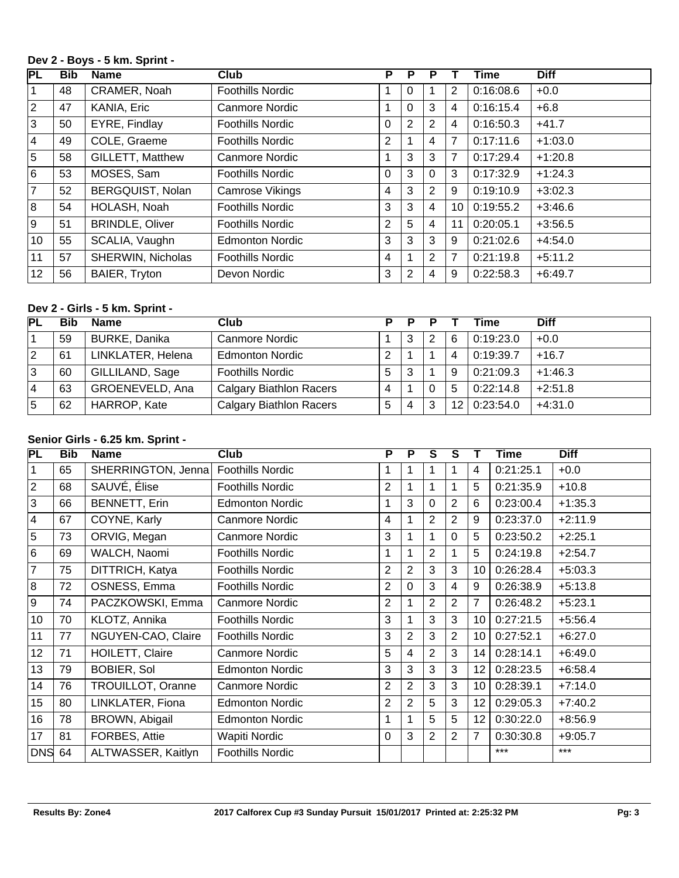#### **Dev 2 - Boys - 5 km. Sprint -**

| PL          | Bib | <b>Name</b>            | Club                    | Р              | Р |                |    | Time      | <b>Diff</b> |
|-------------|-----|------------------------|-------------------------|----------------|---|----------------|----|-----------|-------------|
| 1           | 48  | CRAMER, Noah           | <b>Foothills Nordic</b> |                | O |                | 2  | 0:16:08.6 | $+0.0$      |
| $ 2\rangle$ | 47  | KANIA, Eric            | Canmore Nordic          |                | 0 | 3              | 4  | 0:16:15.4 | $+6.8$      |
| ΙЗ          | 50  | EYRE, Findlay          | <b>Foothills Nordic</b> | 0              | 2 | 2              | 4  | 0:16:50.3 | $+41.7$     |
| <u> 4</u>   | 49  | COLE, Graeme           | <b>Foothills Nordic</b> | 2              |   | 4              | 7  | 0:17:11.6 | $+1:03.0$   |
| 5           | 58  | GILLETT, Matthew       | Canmore Nordic          |                | 3 | 3              | 7  | 0:17:29.4 | $+1:20.8$   |
| 6           | 53  | MOSES, Sam             | <b>Foothills Nordic</b> | $\Omega$       | 3 | $\Omega$       | 3  | 0:17:32.9 | $+1:24.3$   |
| 17          | 52  | BERGQUIST, Nolan       | Camrose Vikings         | 4              | 3 | $\overline{2}$ | 9  | 0:19:10.9 | $+3:02.3$   |
| 8           | 54  | HOLASH, Noah           | <b>Foothills Nordic</b> | 3              | 3 | 4              | 10 | 0:19:55.2 | $+3:46.6$   |
| 9           | 51  | <b>BRINDLE, Oliver</b> | <b>Foothills Nordic</b> | $\overline{2}$ | 5 | 4              | 11 | 0:20:05.1 | $+3:56.5$   |
| 10          | 55  | SCALIA, Vaughn         | <b>Edmonton Nordic</b>  | 3              | 3 | 3              | 9  | 0:21:02.6 | $+4:54.0$   |
| 11          | 57  | SHERWIN, Nicholas      | <b>Foothills Nordic</b> | 4              |   | $\overline{2}$ | 7  | 0:21:19.8 | $+5:11.2$   |
| 12          | 56  | BAIER, Tryton          | Devon Nordic            | 3              | 2 | 4              | 9  | 0:22:58.3 | $+6:49.7$   |

## **Dev 2 - Girls - 5 km. Sprint -**

| <b>PL</b> | Bib | <b>Name</b>          | Club                           | D | D |   |   | Time           | <b>Diff</b> |
|-----------|-----|----------------------|--------------------------------|---|---|---|---|----------------|-------------|
|           | 59  | <b>BURKE, Danika</b> | Canmore Nordic                 |   | З |   | 6 | 0:19:23.0      | $+0.0$      |
| 2         | 61  | LINKLATER, Helena    | <b>Edmonton Nordic</b>         | っ |   |   | 4 | 0:19:39.7      | $+16.7$     |
| 3         | 60  | GILLILAND, Sage      | <b>Foothills Nordic</b>        | 5 | 3 |   | 9 | 0:21:09.3      | $+1:46.3$   |
| 14        | 63  | GROENEVELD, Ana      | <b>Calgary Biathlon Racers</b> | 4 |   |   | 5 | 0:22:14.8      | $+2:51.8$   |
| 15        | 62  | HARROP, Kate         | <b>Calgary Biathlon Racers</b> | 5 | 4 | 3 |   | 12   0:23:54.0 | $+4:31.0$   |

### **Senior Girls - 6.25 km. Sprint -**

| PL              | <b>Bib</b> | <b>Name</b>              | <b>Club</b>             | P              | P              | S              | S              |    | Time      | <b>Diff</b> |
|-----------------|------------|--------------------------|-------------------------|----------------|----------------|----------------|----------------|----|-----------|-------------|
| $\mathbf{1}$    | 65         | SHERRINGTON, Jenna       | <b>Foothills Nordic</b> |                |                | 1              |                | 4  | 0:21:25.1 | $+0.0$      |
| $\overline{2}$  | 68         | SAUVÉ, Élise             | <b>Foothills Nordic</b> | $\overline{2}$ |                | 1              |                | 5  | 0:21:35.9 | $+10.8$     |
| $\overline{3}$  | 66         | <b>BENNETT, Erin</b>     | <b>Edmonton Nordic</b>  |                | 3              | $\Omega$       | 2              | 6  | 0:23:00.4 | $+1:35.3$   |
| $\vert 4 \vert$ | 67         | COYNE, Karly             | Canmore Nordic          | 4              |                | $\overline{2}$ | $\overline{2}$ | 9  | 0:23:37.0 | $+2:11.9$   |
| 5               | 73         | ORVIG, Megan             | Canmore Nordic          | 3              |                | 1              | 0              | 5  | 0:23:50.2 | $+2:25.1$   |
| 6               | 69         | WALCH, Naomi             | <b>Foothills Nordic</b> | 1              |                | $\overline{2}$ |                | 5  | 0:24:19.8 | $+2:54.7$   |
| $\overline{7}$  | 75         | DITTRICH, Katya          | <b>Foothills Nordic</b> | $\overline{2}$ | $\overline{2}$ | 3              | 3              | 10 | 0:26:28.4 | $+5:03.3$   |
| 8               | 72         | OSNESS, Emma             | <b>Foothills Nordic</b> | $\overline{2}$ | 0              | 3              | 4              | 9  | 0:26:38.9 | $+5:13.8$   |
| l 9             | 74         | PACZKOWSKI, Emma         | Canmore Nordic          | $\overline{2}$ |                | $\overline{2}$ | $\overline{2}$ | 7  | 0:26:48.2 | $+5:23.1$   |
| 10              | 70         | KLOTZ, Annika            | <b>Foothills Nordic</b> | 3              |                | 3              | 3              | 10 | 0:27:21.5 | $+5:56.4$   |
| 11              | 77         | NGUYEN-CAO, Claire       | <b>Foothills Nordic</b> | 3              | 2              | 3              | $\overline{2}$ | 10 | 0:27:52.1 | $+6:27.0$   |
| 12              | 71         | HOILETT, Claire          | Canmore Nordic          | 5              | 4              | $\overline{2}$ | 3              | 14 | 0:28:14.1 | $+6:49.0$   |
| 13              | 79         | <b>BOBIER, Sol</b>       | <b>Edmonton Nordic</b>  | 3              | 3              | 3              | 3              | 12 | 0:28:23.5 | $+6:58.4$   |
| 14              | 76         | <b>TROUILLOT, Oranne</b> | Canmore Nordic          | 2              | 2              | 3              | 3              | 10 | 0:28:39.1 | $+7:14.0$   |
| 15              | 80         | LINKLATER, Fiona         | <b>Edmonton Nordic</b>  | 2              | 2              | 5              | 3              | 12 | 0:29:05.3 | $+7:40.2$   |
| 16              | 78         | BROWN, Abigail           | <b>Edmonton Nordic</b>  | 1              |                | 5              | 5              | 12 | 0:30:22.0 | $+8:56.9$   |
| 17              | 81         | FORBES, Attie            | Wapiti Nordic           | 0              | 3              | $\overline{2}$ | 2              | 7  | 0:30:30.8 | $+9:05.7$   |
| <b>DNS</b>      | 64         | ALTWASSER, Kaitlyn       | <b>Foothills Nordic</b> |                |                |                |                |    | $***$     | $***$       |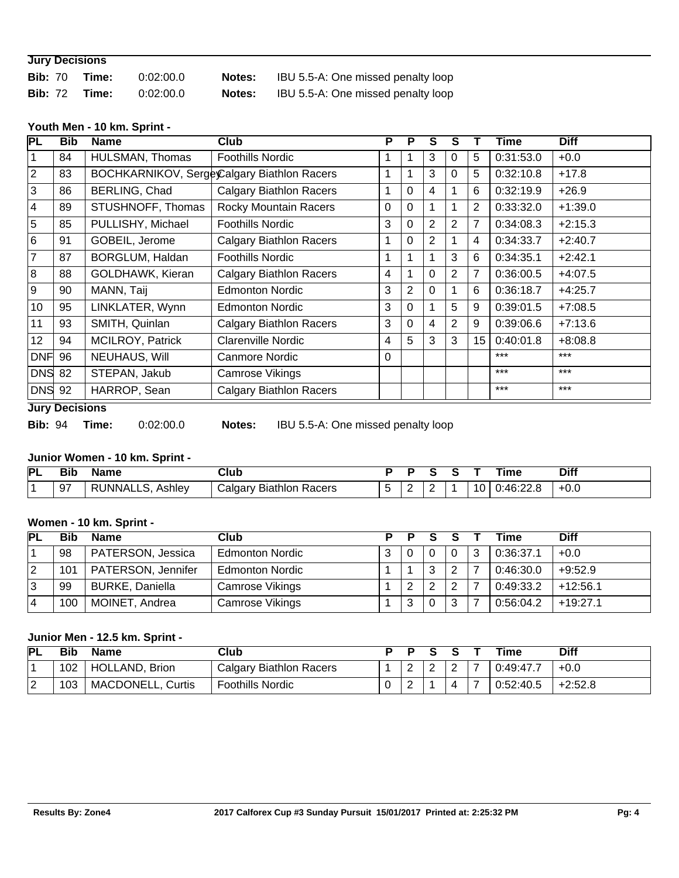| <b>Jury Decisions</b> |       |           |               |                                    |  |  |  |  |  |  |  |
|-----------------------|-------|-----------|---------------|------------------------------------|--|--|--|--|--|--|--|
| <b>Bib: 70</b>        | Time: | 0:02:00.0 | <b>Notes:</b> | IBU 5.5-A: One missed penalty loop |  |  |  |  |  |  |  |
| <b>Bib: 72</b>        | Time: | 0:02:00.0 | <b>Notes:</b> | IBU 5.5-A: One missed penalty loop |  |  |  |  |  |  |  |

#### **Youth Men - 10 km. Sprint -**

| PL             | <b>Bib</b> | <b>Name</b>             | <b>Club</b>                                 | Р | P        | S        | s              |    | Time      | <b>Diff</b> |
|----------------|------------|-------------------------|---------------------------------------------|---|----------|----------|----------------|----|-----------|-------------|
|                | 84         | HULSMAN, Thomas         | <b>Foothills Nordic</b>                     |   |          | 3        | 0              | 5  | 0:31:53.0 | $+0.0$      |
| $\overline{2}$ | 83         |                         | BOCHKARNIKOV, Serge Calgary Biathlon Racers | 1 |          | 3        | $\Omega$       | 5  | 0:32:10.8 | $+17.8$     |
| 3              | 86         | BERLING, Chad           | <b>Calgary Biathlon Racers</b>              |   | 0        | 4        |                | 6  | 0:32:19.9 | $+26.9$     |
| 4              | 89         | STUSHNOFF, Thomas       | Rocky Mountain Racers                       | 0 | $\Omega$ |          | 1              | 2  | 0:33:32.0 | $+1:39.0$   |
| 5              | 85         | PULLISHY, Michael       | <b>Foothills Nordic</b>                     | 3 | 0        | 2        | $\overline{2}$ | 7  | 0:34:08.3 | $+2:15.3$   |
| 6              | 91         | GOBEIL, Jerome          | <b>Calgary Biathlon Racers</b>              | 1 | 0        | 2        |                | 4  | 0:34:33.7 | $+2:40.7$   |
| 7              | 87         | BORGLUM, Haldan         | <b>Foothills Nordic</b>                     | 1 | 1        |          | 3              | 6  | 0:34:35.1 | $+2:42.1$   |
| 8              | 88         | GOLDHAWK, Kieran        | <b>Calgary Biathlon Racers</b>              | 4 |          | 0        | $\overline{2}$ | 7  | 0:36:00.5 | $+4:07.5$   |
| 9              | 90         | MANN, Taij              | <b>Edmonton Nordic</b>                      | 3 | 2        | $\Omega$ | $\mathbf 1$    | 6  | 0:36:18.7 | $+4:25.7$   |
| 10             | 95         | LINKLATER, Wynn         | <b>Edmonton Nordic</b>                      | 3 | 0        |          | 5              | 9  | 0:39:01.5 | $+7:08.5$   |
| 11             | 93         | SMITH, Quinlan          | <b>Calgary Biathlon Racers</b>              | 3 | 0        | 4        | $\overline{2}$ | 9  | 0:39:06.6 | $+7:13.6$   |
| 12             | 94         | <b>MCILROY, Patrick</b> | <b>Clarenville Nordic</b>                   | 4 | 5        | 3        | 3              | 15 | 0:40:01.8 | $+8:08.8$   |
| <b>DNF</b>     | 96         | NEUHAUS, Will           | <b>Canmore Nordic</b>                       | 0 |          |          |                |    | $***$     | $***$       |
| <b>DNS</b> 82  |            | STEPAN, Jakub           | Camrose Vikings                             |   |          |          |                |    | $***$     | $***$       |
| <b>DNS</b> 92  |            | HARROP, Sean            | <b>Calgary Biathlon Racers</b>              |   |          |          |                |    | $***$     | $***$       |

#### **Jury Decisions**

**Bib:** 94 **Time:** 0:02:00.0 **Notes:** IBU 5.5-A: One missed penalty loop

### **Junior Women - 10 km. Sprint -**

| <b>PL</b> | <b>Bik</b> | <b>Name</b>               | Club                            |   |   |    | ïme                     | Diff   |
|-----------|------------|---------------------------|---------------------------------|---|---|----|-------------------------|--------|
|           | 97         | Ashley<br>RUNNALLS.<br>ים | Biathlon<br>Racers<br>'aldary ت | - | - | 10 | ົ <sup>ດ-</sup> 46:2∠.ປ | ່ +0.⊾ |

#### **Women - 10 km. Sprint -**

| <b>PL</b> | Bib | <b>Name</b>            | Club                   | p p | S.     |   | Гіmе      | <b>Diff</b> |
|-----------|-----|------------------------|------------------------|-----|--------|---|-----------|-------------|
|           | 98  | PATERSON, Jessica      | <b>Edmonton Nordic</b> |     |        | 0 | 0:36:37.1 | $+0.0$      |
| 12        | 101 | PATERSON, Jennifer     | <b>Edmonton Nordic</b> |     | ົ<br>J | ◠ | 0:46:30.0 | $+9:52.9$   |
| 13        | 99  | <b>BURKE, Daniella</b> | Camrose Vikings        | ົ   | ົ      | ⌒ | 0:49:33.2 | $+12:56.1$  |
| 14        | 100 | MOINET, Andrea         | Camrose Vikings        | ົ   |        | າ | 0:56:04.2 | $+19:27.1$  |

## **Junior Men - 12.5 km. Sprint -**

| PL | Bib | Name                     | Club                           |   |        |        | Time      | <b>Diff</b> |
|----|-----|--------------------------|--------------------------------|---|--------|--------|-----------|-------------|
|    | 102 | HOLLAND, Brion           | <b>Calgary Biathlon Racers</b> |   | ⌒<br>∼ | ⌒<br>- | 0:49:47.7 | $+0.0$      |
| ⌒  | 103 | <b>MACDONELL, Curtis</b> | <b>Foothills Nordic</b>        | ⌒ |        |        | 0:52:40.5 | $+2:52.8$   |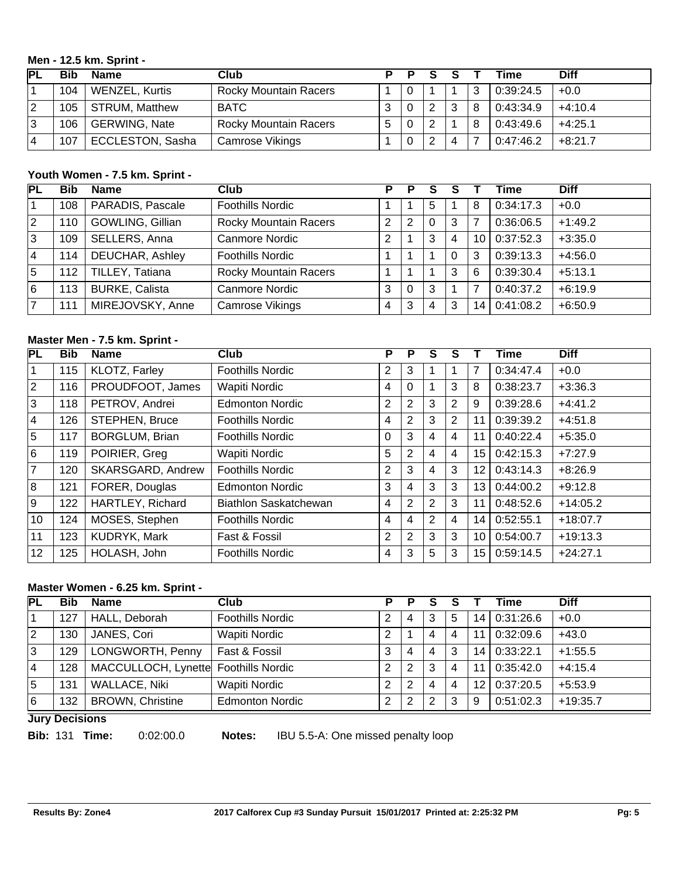#### **Men - 12.5 km. Sprint -**

| ГPL | Bib | <b>Name</b>             | Club                         | D |   |                           | Time      | <b>Diff</b> |
|-----|-----|-------------------------|------------------------------|---|---|---------------------------|-----------|-------------|
|     | 104 | <b>WENZEL, Kurtis</b>   | <b>Rocky Mountain Racers</b> |   |   |                           | 0:39:24.5 | $+0.0$      |
| 12  | 105 | <b>STRUM, Matthew</b>   | <b>BATC</b>                  |   |   | າ                         | 0:43:34.9 | $+4:10.4$   |
| 13  | 106 | <b>GERWING, Nate</b>    | <b>Rocky Mountain Racers</b> | 5 | ົ |                           | 0:43:49.6 | $+4:25.1$   |
| 14  | 107 | <b>ECCLESTON, Sasha</b> | Camrose Vikings              |   | 2 | $\boldsymbol{\varLambda}$ | 0:47:46.2 | $+8:21.7$   |

## **Youth Women - 7.5 km. Sprint -**

| PL | Bib | <b>Name</b>            | Club                         | Р | Р |   |   |    | Time      | <b>Diff</b> |
|----|-----|------------------------|------------------------------|---|---|---|---|----|-----------|-------------|
|    | 108 | PARADIS, Pascale       | <b>Foothills Nordic</b>      |   |   | 5 |   | 8  | 0:34:17.3 | $+0.0$      |
| 2  | 110 | GOWLING, Gillian       | <b>Rocky Mountain Racers</b> | 2 | 2 | 0 | 3 |    | 0:36:06.5 | $+1:49.2$   |
| 3  | 109 | SELLERS, Anna          | <b>Canmore Nordic</b>        | 2 |   | 3 | 4 | 10 | 0:37:52.3 | $+3:35.0$   |
| 4  | 114 | <b>DEUCHAR, Ashley</b> | <b>Foothills Nordic</b>      |   |   |   | 0 | 3  | 0:39:13.3 | $+4:56.0$   |
| 15 | 112 | TILLEY, Tatiana        | <b>Rocky Mountain Racers</b> |   |   |   | 3 | 6  | 0:39:30.4 | $+5:13.1$   |
| 6  | 113 | <b>BURKE, Calista</b>  | <b>Canmore Nordic</b>        | 3 | 0 | 3 |   |    | 0:40:37.2 | $+6:19.9$   |
| 7  | 111 | MIREJOVSKY, Anne       | <b>Camrose Vikings</b>       | 4 | 3 | 4 | 3 | 14 | 0:41:08.2 | $+6:50.9$   |

## **Master Men - 7.5 km. Sprint -**

| PL             | <b>Bib</b> | <b>Name</b>           | <b>Club</b>             | Р | P              | S | S              |                 | Time      | <b>Diff</b> |
|----------------|------------|-----------------------|-------------------------|---|----------------|---|----------------|-----------------|-----------|-------------|
| 1              | 115        | KLOTZ, Farley         | <b>Foothills Nordic</b> | 2 | 3              |   |                |                 | 0:34:47.4 | $+0.0$      |
| $\overline{2}$ | 116        | PROUDFOOT, James      | Wapiti Nordic           | 4 | 0              |   | 3              | 8               | 0:38:23.7 | $+3:36.3$   |
| 3              | 118        | PETROV, Andrei        | <b>Edmonton Nordic</b>  | 2 | 2              | 3 | $\overline{2}$ | 9               | 0:39:28.6 | $+4:41.2$   |
| 4              | 126        | <b>STEPHEN, Bruce</b> | <b>Foothills Nordic</b> | 4 | 2              | 3 | $\overline{2}$ | 11              | 0:39:39.2 | $+4:51.8$   |
| 5              | 117        | <b>BORGLUM, Brian</b> | <b>Foothills Nordic</b> | 0 | 3              | 4 | 4              | 11              | 0:40:22.4 | $+5:35.0$   |
| 6              | 119        | POIRIER, Greg         | Wapiti Nordic           | 5 | 2              | 4 | 4              | 15 <sub>1</sub> | 0:42:15.3 | $+7:27.9$   |
| $\overline{7}$ | 120        | SKARSGARD, Andrew     | <b>Foothills Nordic</b> | 2 | 3              | 4 | 3              | 12              | 0:43:14.3 | $+8:26.9$   |
| 8              | 121        | FORER, Douglas        | <b>Edmonton Nordic</b>  | 3 | 4              | 3 | 3              | 13              | 0:44:00.2 | $+9:12.8$   |
| 9              | 122        | HARTLEY, Richard      | Biathlon Saskatchewan   | 4 | $\overline{2}$ | 2 | 3              | 11              | 0:48:52.6 | $+14:05.2$  |
| 10             | 124        | MOSES, Stephen        | <b>Foothills Nordic</b> | 4 | 4              | 2 | 4              | 14 <sub>1</sub> | 0:52:55.1 | $+18:07.7$  |
| 11             | 123        | <b>KUDRYK, Mark</b>   | Fast & Fossil           | 2 | 2              | 3 | 3              | 10              | 0:54:00.7 | $+19:13.3$  |
| 12             | 125        | HOLASH, John          | <b>Foothills Nordic</b> | 4 | 3              | 5 | 3              | 15 <sub>1</sub> | 0:59:14.5 | $+24:27.1$  |

## **Master Women - 6.25 km. Sprint -**

| <b>PL</b>      | Bib | <b>Name</b>                          | Club                    | P | Р |   |   |    | Time      | <b>Diff</b> |
|----------------|-----|--------------------------------------|-------------------------|---|---|---|---|----|-----------|-------------|
|                | 127 | HALL, Deborah                        | <b>Foothills Nordic</b> |   | 4 | 3 | 5 | 14 | 0:31:26.6 | $+0.0$      |
| 2              | 130 | JANES, Cori                          | Wapiti Nordic           | າ |   | 4 | 4 | 11 | 0:32:09.6 | $+43.0$     |
| 3              | 129 | LONGWORTH, Penny                     | Fast & Fossil           | 3 | 4 | 4 | 3 | 14 | 0:33:22.1 | $+1:55.5$   |
| $\overline{4}$ | 128 | MACCULLOCH, Lynette Foothills Nordic |                         | າ | 2 | 3 |   | 11 | 0:35:42.0 | $+4:15.4$   |
| 5              | 131 | <b>WALLACE, Niki</b>                 | <b>Wapiti Nordic</b>    | っ | 2 | 4 | 4 | 12 | 0:37:20.5 | $+5:53.9$   |
| 16             | 132 | <b>BROWN, Christine</b>              | <b>Edmonton Nordic</b>  | っ | 2 | ົ | 3 | 9  | 0:51:02.3 | $+19:35.7$  |

**Jury Decisions**

**Bib:** 131 **Time:** 0:02:00.0 **Notes:** IBU 5.5-A: One missed penalty loop